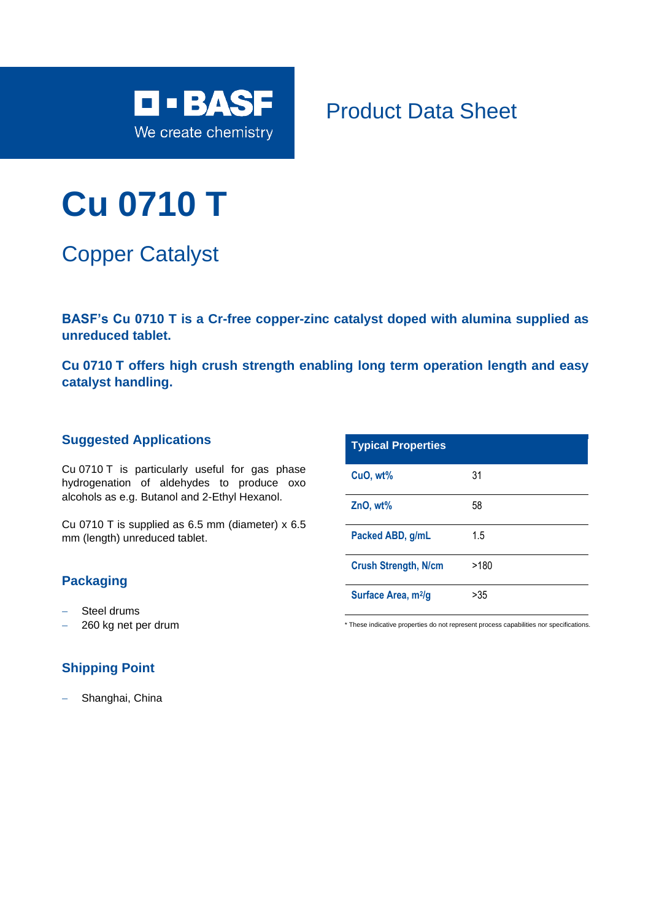

Product Data Sheet

# **Cu 0710 T**

Copper Catalyst

**BASF's Cu 0710 T is a Cr-free copper-zinc catalyst doped with alumina supplied as unreduced tablet.**

**Cu 0710 T offers high crush strength enabling long term operation length and easy catalyst handling.**

#### **Suggested Applications**

Cu 0710 T is particularly useful for gas phase hydrogenation of aldehydes to produce oxo alcohols as e.g. Butanol and 2-Ethyl Hexanol.

Cu 0710 T is supplied as 6.5 mm (diameter) x 6.5 mm (length) unreduced tablet.

### **Packaging**

- − Steel drums
- − 260 kg net per drum

## **Shipping Point**

Shanghai, China

| <b>Typical Properties</b>       |      |
|---------------------------------|------|
| CuO, wt%                        | 31   |
| $ZnO, wt\%$                     | 58   |
| Packed ABD, g/mL                | 1.5  |
| <b>Crush Strength, N/cm</b>     | >180 |
| Surface Area, m <sup>2</sup> /g | >35  |

\* These indicative properties do not represent process capabilities nor specifications.